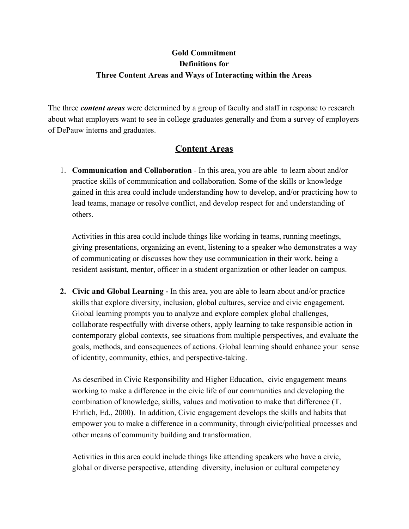### **Gold Commitment Definitions for Three Content Areas and Ways of Interacting within the Areas**

The three *content areas* were determined by a group of faculty and staff in response to research about what employers want to see in college graduates generally and from a survey of employers of DePauw interns and graduates.

#### **Content Areas**

1. **Communication and Collaboration** - In this area, you are able to learn about and/or practice skills of communication and collaboration. Some of the skills or knowledge gained in this area could include understanding how to develop, and/or practicing how to lead teams, manage or resolve conflict, and develop respect for and understanding of others.

Activities in this area could include things like working in teams, running meetings, giving presentations, organizing an event, listening to a speaker who demonstrates a way of communicating or discusses how they use communication in their work, being a resident assistant, mentor, officer in a student organization or other leader on campus.

**2. Civic and Global Learning -** In this area, you are able to learn about and/or practice skills that explore diversity, inclusion, global cultures, service and civic engagement. Global learning prompts you to analyze and explore complex global challenges, collaborate respectfully with diverse others, apply learning to take responsible action in contemporary global contexts, see situations from multiple perspectives, and evaluate the goals, methods, and consequences of actions. Global learning should enhance your sense of identity, community, ethics, and perspective-taking.

As described in Civic Responsibility and Higher Education, civic engagement means working to make a difference in the civic life of our communities and developing the combination of knowledge, skills, values and motivation to make that difference (T. Ehrlich, Ed., 2000). In addition, Civic engagement develops the skills and habits that empower you to make a difference in a community, through civic/political processes and other means of community building and transformation.

Activities in this area could include things like attending speakers who have a civic, global or diverse perspective, attending diversity, inclusion or cultural competency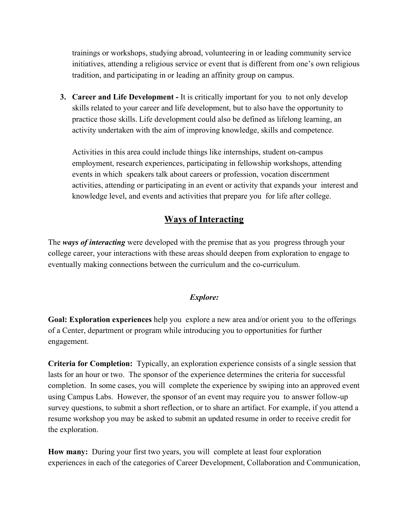trainings or workshops, studying abroad, volunteering in or leading community service initiatives, attending a religious service or event that is different from one's own religious tradition, and participating in or leading an affinity group on campus.

**3. Career and Life Development -** It is critically important for you to not only develop skills related to your career and life development, but to also have the opportunity to practice those skills. Life development could also be defined as lifelong learning, an activity undertaken with the aim of improving knowledge, skills and competence.

Activities in this area could include things like internships, student on-campus employment, research experiences, participating in fellowship workshops, attending events in which speakers talk about careers or profession, vocation discernment activities, attending or participating in an event or activity that expands your interest and knowledge level, and events and activities that prepare you for life after college.

## **Ways of Interacting**

The *ways of interacting* were developed with the premise that as you progress through your college career, your interactions with these areas should deepen from exploration to engage to eventually making connections between the curriculum and the co-curriculum.

#### *Explore:*

**Goal: Exploration experiences** help you explore a new area and/or orient you to the offerings of a Center, department or program while introducing you to opportunities for further engagement.

**Criteria for Completion:** Typically, an exploration experience consists of a single session that lasts for an hour or two. The sponsor of the experience determines the criteria for successful completion. In some cases, you will complete the experience by swiping into an approved event using Campus Labs. However, the sponsor of an event may require you to answer follow-up survey questions, to submit a short reflection, or to share an artifact. For example, if you attend a resume workshop you may be asked to submit an updated resume in order to receive credit for the exploration.

**How many:** During your first two years, you will complete at least four exploration experiences in each of the categories of Career Development, Collaboration and Communication,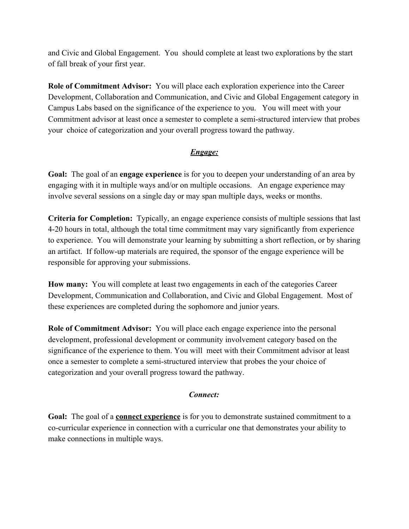and Civic and Global Engagement. You should complete at least two explorations by the start of fall break of your first year.

**Role of Commitment Advisor:** You will place each exploration experience into the Career Development, Collaboration and Communication, and Civic and Global Engagement category in Campus Labs based on the significance of the experience to you. You will meet with your Commitment advisor at least once a semester to complete a semi-structured interview that probes your choice of categorization and your overall progress toward the pathway.

#### *Engage:*

**Goal:** The goal of an **engage experience** is for you to deepen your understanding of an area by engaging with it in multiple ways and/or on multiple occasions. An engage experience may involve several sessions on a single day or may span multiple days, weeks or months.

**Criteria for Completion:** Typically, an engage experience consists of multiple sessions that last 4-20 hours in total, although the total time commitment may vary significantly from experience to experience. You will demonstrate your learning by submitting a short reflection, or by sharing an artifact. If follow-up materials are required, the sponsor of the engage experience will be responsible for approving your submissions.

**How many:** You will complete at least two engagements in each of the categories Career Development, Communication and Collaboration, and Civic and Global Engagement. Most of these experiences are completed during the sophomore and junior years.

**Role of Commitment Advisor:** You will place each engage experience into the personal development, professional development or community involvement category based on the significance of the experience to them. You will meet with their Commitment advisor at least once a semester to complete a semi-structured interview that probes the your choice of categorization and your overall progress toward the pathway.

#### *Connect:*

**Goal:** The goal of a **connect experience** is for you to demonstrate sustained commitment to a co-curricular experience in connection with a curricular one that demonstrates your ability to make connections in multiple ways.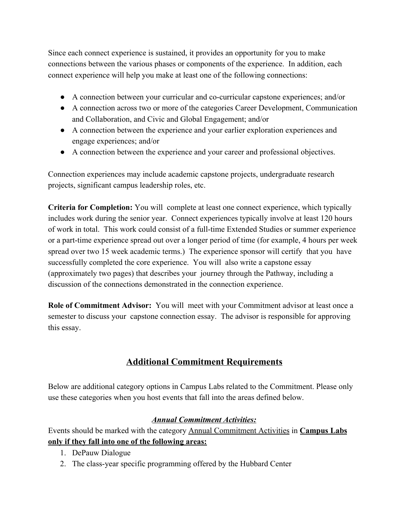Since each connect experience is sustained, it provides an opportunity for you to make connections between the various phases or components of the experience. In addition, each connect experience will help you make at least one of the following connections:

- A connection between your curricular and co-curricular capstone experiences; and/or
- A connection across two or more of the categories Career Development, Communication and Collaboration, and Civic and Global Engagement; and/or
- A connection between the experience and your earlier exploration experiences and engage experiences; and/or
- A connection between the experience and your career and professional objectives.

Connection experiences may include academic capstone projects, undergraduate research projects, significant campus leadership roles, etc.

**Criteria for Completion:** You will complete at least one connect experience, which typically includes work during the senior year. Connect experiences typically involve at least 120 hours of work in total. This work could consist of a full-time Extended Studies or summer experience or a part-time experience spread out over a longer period of time (for example, 4 hours per week spread over two 15 week academic terms.) The experience sponsor will certify that you have successfully completed the core experience. You will also write a capstone essay (approximately two pages) that describes your journey through the Pathway, including a discussion of the connections demonstrated in the connection experience.

**Role of Commitment Advisor:** You will meet with your Commitment advisor at least once a semester to discuss your capstone connection essay. The advisor is responsible for approving this essay.

# **Additional Commitment Requirements**

Below are additional category options in Campus Labs related to the Commitment. Please only use these categories when you host events that fall into the areas defined below.

#### *Annual Commitment Activities:*

Events should be marked with the category Annual Commitment Activities in **Campus Labs only if they fall into one of the following areas:**

- 1. DePauw Dialogue
- 2. The class-year specific programming offered by the Hubbard Center